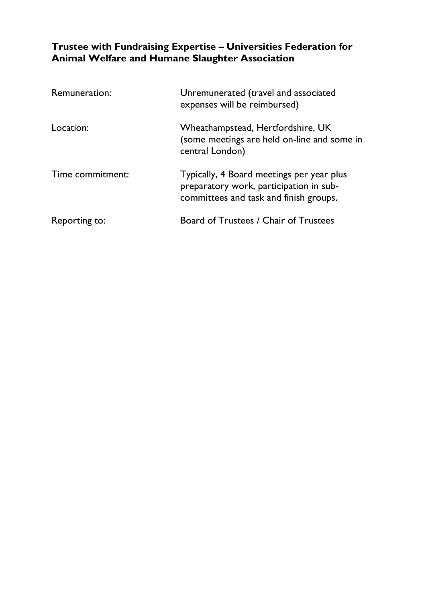# **Trustee with Fundraising Expertise – Universities Federation for Animal Welfare and Humane Slaughter Association**

| Remuneration:    | Unremunerated (travel and associated<br>expenses will be reimbursed)                                                           |
|------------------|--------------------------------------------------------------------------------------------------------------------------------|
| Location:        | Wheathampstead, Hertfordshire, UK<br>(some meetings are held on-line and some in<br>central London)                            |
| Time commitment: | Typically, 4 Board meetings per year plus<br>preparatory work, participation in sub-<br>committees and task and finish groups. |
| Reporting to:    | Board of Trustees / Chair of Trustees                                                                                          |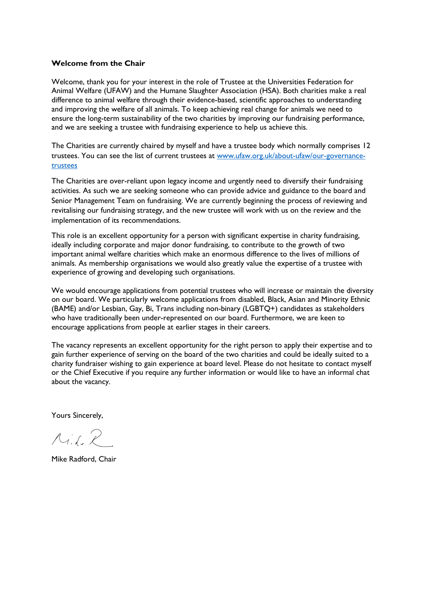#### **Welcome from the Chair**

Welcome, thank you for your interest in the role of Trustee at the Universities Federation for Animal Welfare (UFAW) and the Humane Slaughter Association (HSA). Both charities make a real difference to animal welfare through their evidence-based, scientific approaches to understanding and improving the welfare of all animals. To keep achieving real change for animals we need to ensure the long-term sustainability of the two charities by improving our fundraising performance, and we are seeking a trustee with fundraising experience to help us achieve this.

The Charities are currently chaired by myself and have a trustee body which normally comprises 12 trustees. You can see the list of current trustees at [www.ufaw.org.uk/about-ufaw/our-governance](http://www.ufaw.org.uk/about-ufaw/our-governance-trustees)[trustees](http://www.ufaw.org.uk/about-ufaw/our-governance-trustees)

The Charities are over-reliant upon legacy income and urgently need to diversify their fundraising activities. As such we are seeking someone who can provide advice and guidance to the board and Senior Management Team on fundraising. We are currently beginning the process of reviewing and revitalising our fundraising strategy, and the new trustee will work with us on the review and the implementation of its recommendations.

This role is an excellent opportunity for a person with significant expertise in charity fundraising, ideally including corporate and major donor fundraising, to contribute to the growth of two important animal welfare charities which make an enormous difference to the lives of millions of animals. As membership organisations we would also greatly value the expertise of a trustee with experience of growing and developing such organisations.

We would encourage applications from potential trustees who will increase or maintain the diversity on our board. We particularly welcome applications from disabled, Black, Asian and Minority Ethnic (BAME) and/or Lesbian, Gay, Bi, Trans including non-binary (LGBTQ+) candidates as stakeholders who have traditionally been under-represented on our board. Furthermore, we are keen to encourage applications from people at earlier stages in their careers.

The vacancy represents an excellent opportunity for the right person to apply their expertise and to gain further experience of serving on the board of the two charities and could be ideally suited to a charity fundraiser wishing to gain experience at board level. Please do not hesitate to contact myself or the Chief Executive if you require any further information or would like to have an informal chat about the vacancy.

Yours Sincerely,

 $A_{i.f.}$ 

Mike Radford, Chair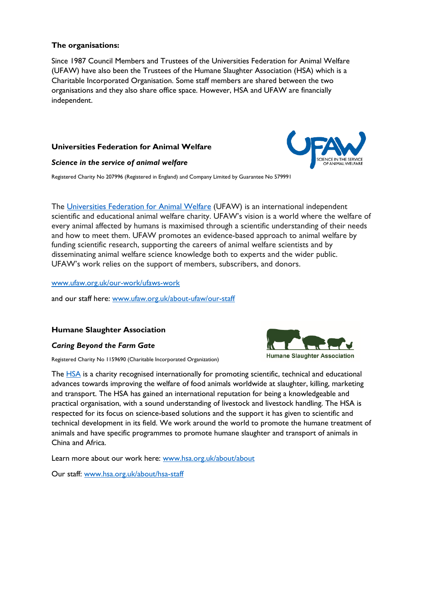#### **The organisations:**

Since 1987 Council Members and Trustees of the Universities Federation for Animal Welfare (UFAW) have also been the Trustees of the Humane Slaughter Association (HSA) which is a Charitable Incorporated Organisation. Some staff members are shared between the two organisations and they also share office space. However, HSA and UFAW are financially independent.

# **Universities Federation for Animal Welfare**

#### *Science in the service of animal welfare*

Registered Charity No 207996 (Registered in England) and Company Limited by Guarantee No 579991

The [Universities Federation for Animal Welfare](http://www.ufaw.org.uk/) (UFAW) is an international independent scientific and educational animal welfare charity. UFAW's vision is a world where the welfare of every animal affected by humans is maximised through a scientific understanding of their needs and how to meet them. UFAW promotes an evidence-based approach to animal welfare by funding scientific research, supporting the careers of animal welfare scientists and by disseminating animal welfare science knowledge both to experts and the wider public. UFAW's work relies on the support of members, subscribers, and donors.

#### [www.ufaw.org.uk/our-work/ufaws-work](http://www.ufaw.org.uk/our-work/ufaws-work)

and our staff here: [www.ufaw.org.uk/about-ufaw/our-staff](http://www.ufaw.org.uk/about-ufaw/our-staff)

#### **Humane Slaughter Association**

#### *Caring Beyond the Farm Gate*

Registered Charity No 1159690 (Charitable Incorporated Organization)

The [HSA](http://www.hsa.org.uk/edinburgh22) is a charity recognised internationally for promoting scientific, technical and educational advances towards improving the welfare of food animals worldwide at slaughter, killing, marketing and transport. The HSA has gained an international reputation for being a knowledgeable and practical organisation, with a sound understanding of livestock and livestock handling. The HSA is respected for its focus on science-based solutions and the support it has given to scientific and technical development in its field. We work around the world to promote the humane treatment of animals and have specific programmes to promote humane slaughter and transport of animals in China and Africa.

Learn more about our work here: [www.hsa.org.uk/about/about](http://www.hsa.org.uk/about/about)

Our staff: [www.hsa.org.uk/about/hsa-staff](http://www.hsa.org.uk/about/hsa-staff)



**Humane Slaughter Association**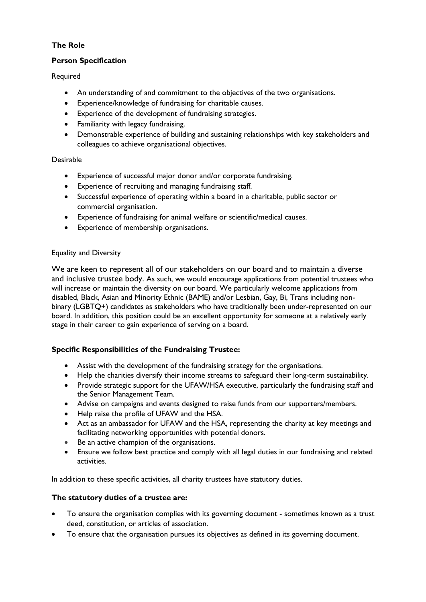# **The Role**

## **Person Specification**

Required

- An understanding of and commitment to the objectives of the two organisations.
- Experience/knowledge of fundraising for charitable causes.
- Experience of the development of fundraising strategies.
- Familiarity with legacy fundraising.
- Demonstrable experience of building and sustaining relationships with key stakeholders and colleagues to achieve organisational objectives.

## Desirable

- Experience of successful major donor and/or corporate fundraising.
- Experience of recruiting and managing fundraising staff.
- Successful experience of operating within a board in a charitable, public sector or commercial organisation.
- Experience of fundraising for animal welfare or scientific/medical causes.
- Experience of membership organisations.

## Equality and Diversity

We are keen to represent all of our stakeholders on our board and to maintain a diverse and inclusive trustee body. As such, we would encourage applications from potential trustees who will increase or maintain the diversity on our board. We particularly welcome applications from disabled, Black, Asian and Minority Ethnic (BAME) and/or Lesbian, Gay, Bi, Trans including nonbinary (LGBTQ+) candidates as stakeholders who have traditionally been under-represented on our board. In addition, this position could be an excellent opportunity for someone at a relatively early stage in their career to gain experience of serving on a board.

## **Specific Responsibilities of the Fundraising Trustee:**

- Assist with the development of the fundraising strategy for the organisations.
- Help the charities diversify their income streams to safeguard their long-term sustainability.
- Provide strategic support for the UFAW/HSA executive, particularly the fundraising staff and the Senior Management Team.
- Advise on campaigns and events designed to raise funds from our supporters/members.
- Help raise the profile of UFAW and the HSA.
- Act as an ambassador for UFAW and the HSA, representing the charity at key meetings and facilitating networking opportunities with potential donors.
- Be an active champion of the organisations.
- Ensure we follow best practice and comply with all legal duties in our fundraising and related activities.

In addition to these specific activities, all charity trustees have statutory duties.

## **The statutory duties of a trustee are:**

- To ensure the organisation complies with its governing document sometimes known as a trust deed, constitution, or articles of association.
- To ensure that the organisation pursues its objectives as defined in its governing document.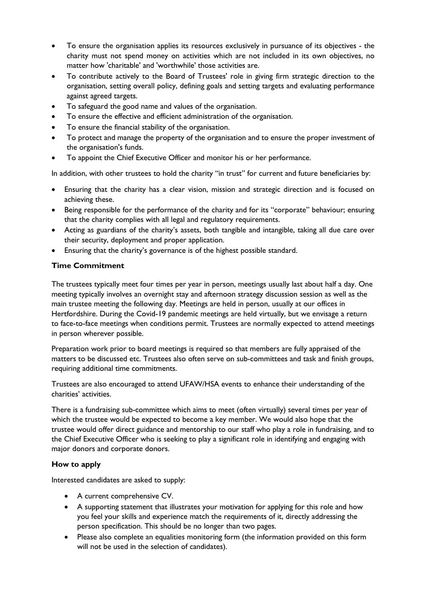- To ensure the organisation applies its resources exclusively in pursuance of its objectives the charity must not spend money on activities which are not included in its own objectives, no matter how 'charitable' and 'worthwhile' those activities are.
- To contribute actively to the Board of Trustees' role in giving firm strategic direction to the organisation, setting overall policy, defining goals and setting targets and evaluating performance against agreed targets.
- To safeguard the good name and values of the organisation.
- To ensure the effective and efficient administration of the organisation.
- To ensure the financial stability of the organisation.
- To protect and manage the property of the organisation and to ensure the proper investment of the organisation's funds.
- To appoint the Chief Executive Officer and monitor his or her performance.

In addition, with other trustees to hold the charity "in trust" for current and future beneficiaries by:

- Ensuring that the charity has a clear vision, mission and strategic direction and is focused on achieving these.
- Being responsible for the performance of the charity and for its "corporate" behaviour; ensuring that the charity complies with all legal and regulatory requirements.
- Acting as guardians of the charity's assets, both tangible and intangible, taking all due care over their security, deployment and proper application.
- Ensuring that the charity's governance is of the highest possible standard.

# **Time Commitment**

The trustees typically meet four times per year in person, meetings usually last about half a day. One meeting typically involves an overnight stay and afternoon strategy discussion session as well as the main trustee meeting the following day. Meetings are held in person, usually at our offices in Hertfordshire. During the Covid-19 pandemic meetings are held virtually, but we envisage a return to face-to-face meetings when conditions permit. Trustees are normally expected to attend meetings in person wherever possible.

Preparation work prior to board meetings is required so that members are fully appraised of the matters to be discussed etc. Trustees also often serve on sub-committees and task and finish groups, requiring additional time commitments.

Trustees are also encouraged to attend UFAW/HSA events to enhance their understanding of the charities' activities.

There is a fundraising sub-committee which aims to meet (often virtually) several times per year of which the trustee would be expected to become a key member. We would also hope that the trustee would offer direct guidance and mentorship to our staff who play a role in fundraising, and to the Chief Executive Officer who is seeking to play a significant role in identifying and engaging with major donors and corporate donors.

## **How to apply**

Interested candidates are asked to supply:

- A current comprehensive CV.
- A supporting statement that illustrates your motivation for applying for this role and how you feel your skills and experience match the requirements of it, directly addressing the person specification. This should be no longer than two pages.
- Please also complete an equalities monitoring form (the information provided on this form will not be used in the selection of candidates).